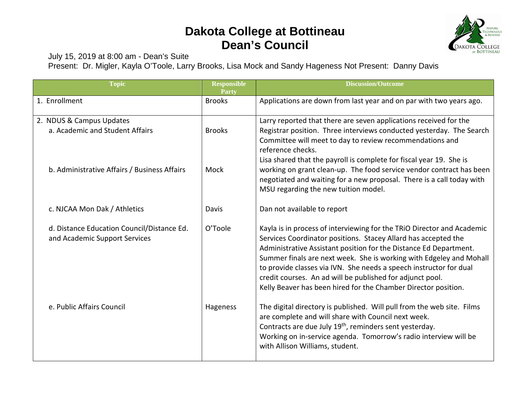## **Dakota College at Bottineau Dean's Council**



July 15, 2019 at 8:00 am - Dean's Suite

Present: Dr. Migler, Kayla O'Toole, Larry Brooks, Lisa Mock and Sandy Hageness Not Present: Danny Davis

| <b>Topic</b>                                                                | <b>Responsible</b><br>Party | <b>Discussion/Outcome</b>                                                                                                                                                                                                                                                                                                                                                                                                                                                                 |
|-----------------------------------------------------------------------------|-----------------------------|-------------------------------------------------------------------------------------------------------------------------------------------------------------------------------------------------------------------------------------------------------------------------------------------------------------------------------------------------------------------------------------------------------------------------------------------------------------------------------------------|
| 1. Enrollment                                                               | <b>Brooks</b>               | Applications are down from last year and on par with two years ago.                                                                                                                                                                                                                                                                                                                                                                                                                       |
| 2. NDUS & Campus Updates<br>a. Academic and Student Affairs                 | <b>Brooks</b>               | Larry reported that there are seven applications received for the<br>Registrar position. Three interviews conducted yesterday. The Search<br>Committee will meet to day to review recommendations and<br>reference checks.<br>Lisa shared that the payroll is complete for fiscal year 19. She is                                                                                                                                                                                         |
| b. Administrative Affairs / Business Affairs                                | Mock                        | working on grant clean-up. The food service vendor contract has been<br>negotiated and waiting for a new proposal. There is a call today with<br>MSU regarding the new tuition model.                                                                                                                                                                                                                                                                                                     |
| c. NJCAA Mon Dak / Athletics                                                | Davis                       | Dan not available to report                                                                                                                                                                                                                                                                                                                                                                                                                                                               |
| d. Distance Education Council/Distance Ed.<br>and Academic Support Services | O'Toole                     | Kayla is in process of interviewing for the TRIO Director and Academic<br>Services Coordinator positions. Stacey Allard has accepted the<br>Administrative Assistant position for the Distance Ed Department.<br>Summer finals are next week. She is working with Edgeley and Mohall<br>to provide classes via IVN. She needs a speech instructor for dual<br>credit courses. An ad will be published for adjunct pool.<br>Kelly Beaver has been hired for the Chamber Director position. |
| e. Public Affairs Council                                                   | Hageness                    | The digital directory is published. Will pull from the web site. Films<br>are complete and will share with Council next week.<br>Contracts are due July 19 <sup>th</sup> , reminders sent yesterday.<br>Working on in-service agenda. Tomorrow's radio interview will be<br>with Allison Williams, student.                                                                                                                                                                               |